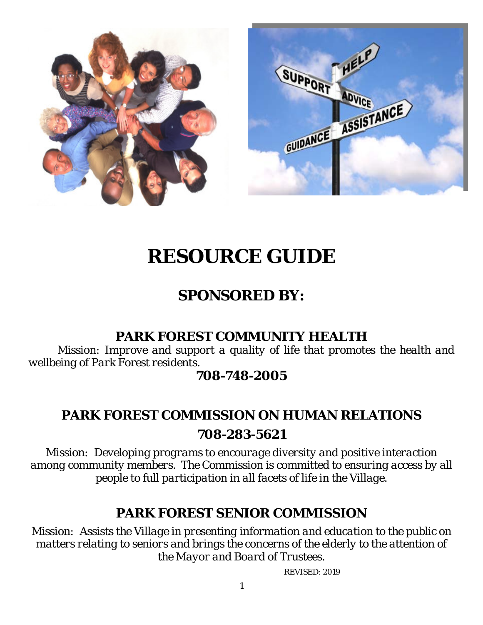

# *RESOURCE GUIDE*

# *SPONSORED BY:*

## **PARK FOREST COMMUNITY HEALTH**

*Mission: Improve and support a quality of life that promotes the health and wellbeing of Park Forest residents.* 

## **708-748-2005**

## **PARK FOREST COMMISSION ON HUMAN RELATIONS**

**708-283-5621**

*Mission: Developing programs to encourage diversity and positive interaction among community members. The Commission is committed to ensuring access by all people to full participation in all facets of life in the Village.* 

## **PARK FOREST SENIOR COMMISSION**

*Mission: Assists the Village in presenting information and education to the public on matters relating to seniors and brings the concerns of the elderly to the attention of the Mayor and Board of Trustees*.

REVISED: 2019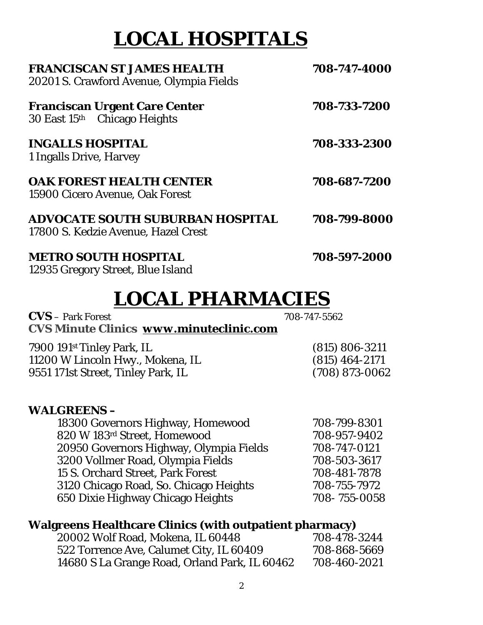# *LOCAL HOSPITALS*

| FRANCISCAN ST JAMES HEALTH<br>20201 S. Crawford Avenue, Olympia Fields  | 708-747-4000 |  |
|-------------------------------------------------------------------------|--------------|--|
| <b>Franciscan Urgent Care Center</b><br>30 East 15th Chicago Heights    | 708-733-7200 |  |
| <b>INGALLS HOSPITAL</b><br>1 Ingalls Drive, Harvey                      | 708-333-2300 |  |
| <b>OAK FOREST HEALTH CENTER</b><br>15900 Cicero Avenue, Oak Forest      | 708-687-7200 |  |
| ADVOCATE SOUTH SUBURBAN HOSPITAL<br>17800 S. Kedzie Avenue, Hazel Crest | 708-799-8000 |  |
| <b>METRO SOUTH HOSPITAL</b><br>12935 Gregory Street, Blue Island        | 708-597-2000 |  |

# *LOCAL PHARMACIES*

**CVS** – Park Forest 708-747-5562 **CVS Minute Clinics** *www.minuteclinic.com*

| 7900 191st Tinley Park, IL         | $(815) 806 - 3211$ |
|------------------------------------|--------------------|
| 11200 W Lincoln Hwy., Mokena, IL   | $(815)$ 464-2171   |
| 9551 171st Street, Tinley Park, IL | $(708)$ 873-0062   |

### **WALGREENS –**

| 18300 Governors Highway, Homewood       | 708-799-8301 |
|-----------------------------------------|--------------|
| 820 W 183rd Street, Homewood            | 708-957-9402 |
| 20950 Governors Highway, Olympia Fields | 708-747-0121 |
| 3200 Vollmer Road, Olympia Fields       | 708-503-3617 |
| 15 S. Orchard Street, Park Forest       | 708-481-7878 |
| 3120 Chicago Road, So. Chicago Heights  | 708-755-7972 |
| 650 Dixie Highway Chicago Heights       | 708-755-0058 |
|                                         |              |

### **Walgreens Healthcare Clinics (with outpatient pharmacy)**

| 20002 Wolf Road, Mokena, IL 60448             | 708-478-3244 |
|-----------------------------------------------|--------------|
| 522 Torrence Ave, Calumet City, IL 60409      | 708-868-5669 |
| 14680 S La Grange Road, Orland Park, IL 60462 | 708-460-2021 |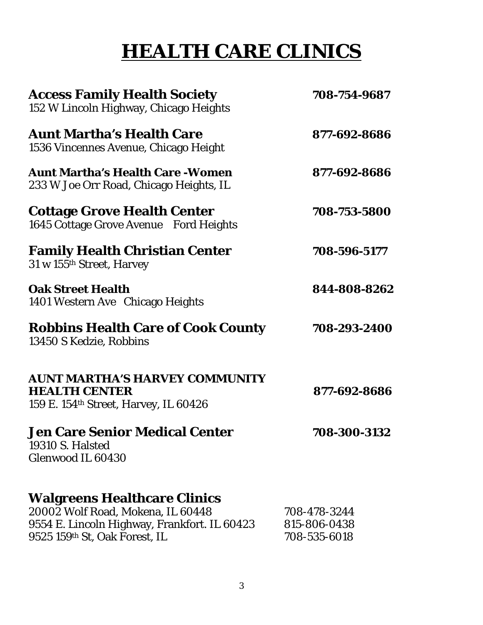# *HEALTH CARE CLINICS*

| <b>Access Family Health Society</b><br>152 W Lincoln Highway, Chicago Heights                                                                             | 708-754-9687                                 |
|-----------------------------------------------------------------------------------------------------------------------------------------------------------|----------------------------------------------|
| <b>Aunt Martha's Health Care</b><br>1536 Vincennes Avenue, Chicago Height                                                                                 | 877-692-8686                                 |
| <b>Aunt Martha's Health Care - Women</b><br>233 W Joe Orr Road, Chicago Heights, IL                                                                       | 877-692-8686                                 |
| <b>Cottage Grove Health Center</b><br>1645 Cottage Grove Avenue Ford Heights                                                                              | 708-753-5800                                 |
| <b>Family Health Christian Center</b><br>31 w 155th Street, Harvey                                                                                        | 708-596-5177                                 |
| <b>Oak Street Health</b><br>1401 Western Ave Chicago Heights                                                                                              | 844-808-8262                                 |
| <b>Robbins Health Care of Cook County</b><br>13450 S Kedzie, Robbins                                                                                      | 708-293-2400                                 |
| <b>AUNT MARTHA'S HARVEY COMMUNITY</b><br><b>HEALTH CENTER</b><br>159 E. 154 <sup>th</sup> Street, Harvey, IL 60426                                        | 877-692-8686                                 |
| <b>Jen Care Senior Medical Center</b><br>19310 S. Halsted<br>Glenwood IL 60430                                                                            | 708-300-3132                                 |
| <b>Walgreens Healthcare Clinics</b><br>20002 Wolf Road, Mokena, IL 60448<br>9554 E. Lincoln Highway, Frankfort. IL 60423<br>9525 159th St, Oak Forest, IL | 708-478-3244<br>815-806-0438<br>708-535-6018 |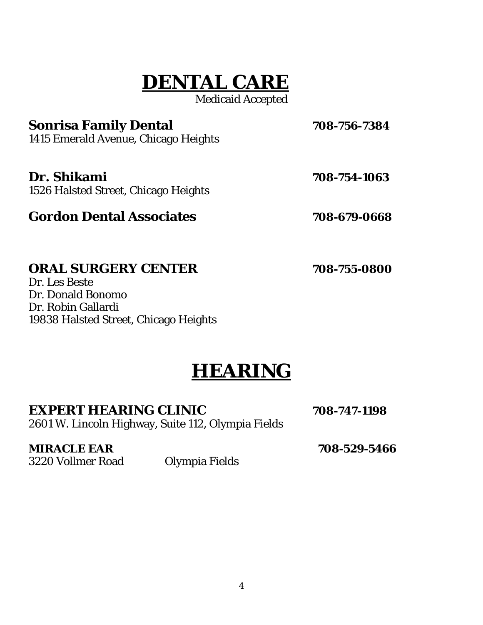# *DENTAL CARE*

Medicaid Accepted

|  | 708-756-7384 |
|--|--------------|

**Sonrisa Family Dental** 1415 Emerald Avenue, Chicago Heights

**Dr. Shikami 708-754-1063**

1526 Halsted Street, Chicago Heights

## **Gordon Dental Associates 708-679-0668**

## **ORAL SURGERY CENTER 708-755-0800**

Dr. Les Beste Dr. Donald Bonomo Dr. Robin Gallardi 19838 Halsted Street, Chicago Heights

# *HEARING*

### **EXPERT HEARING CLINIC 708-747-1198**

2601 W. Lincoln Highway, Suite 112, Olympia Fields

**MIRACLE EAR 708-529-5466** 

3220 Vollmer Road Olympia Fields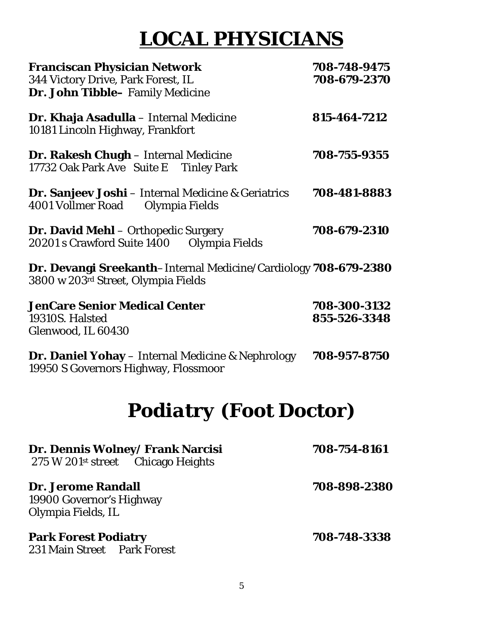# *LOCAL PHYSICIANS*

| <b>Franciscan Physician Network</b><br>344 Victory Drive, Park Forest, IL<br>Dr. John Tibble- Family Medicine | 708-748-9475<br>708-679-2370 |
|---------------------------------------------------------------------------------------------------------------|------------------------------|
| <b>Dr. Khaja Asadulla</b> – Internal Medicine<br>10181 Lincoln Highway, Frankfort                             | 815-464-7212                 |
| Dr. Rakesh Chugh - Internal Medicine<br>17732 Oak Park Ave Suite E Tinley Park                                | 708-755-9355                 |
| <b>Dr. Sanjeev Joshi</b> – Internal Medicine & Geriatrics<br>4001 Vollmer Road<br>Olympia Fields              | 708-481-8883                 |
| <b>Dr. David Mehl</b> – Orthopedic Surgery<br>20201 s Crawford Suite 1400<br>Olympia Fields                   | 708-679-2310                 |
| Dr. Devangi Sreekanth–Internal Medicine/Cardiology 708-679-2380<br>3800 w 203rd Street, Olympia Fields        |                              |
| <b>JenCare Senior Medical Center</b><br>19310S. Halsted<br>Glenwood, IL 60430                                 | 708-300-3132<br>855-526-3348 |
| <b>Dr. Daniel Yohay</b> – Internal Medicine & Nephrology<br>19950 S Governors Highway, Flossmoor              | 708-957-8750                 |
| <b>Podiatry (Foot Doctor)</b>                                                                                 |                              |
| Dr. Dennis Wolney/ Frank Narcisi<br>275 W 201 <sup>st</sup> street Chicago Heights                            | 708-754-8161                 |
| <b>Dr. Jerome Randall</b><br>19900 Governor's Highway<br>Olympia Fields, IL                                   | 708-898-2380                 |
| <b>Park Forest Podiatry</b><br>231 Main Street Park Forest                                                    | 708-748-3338                 |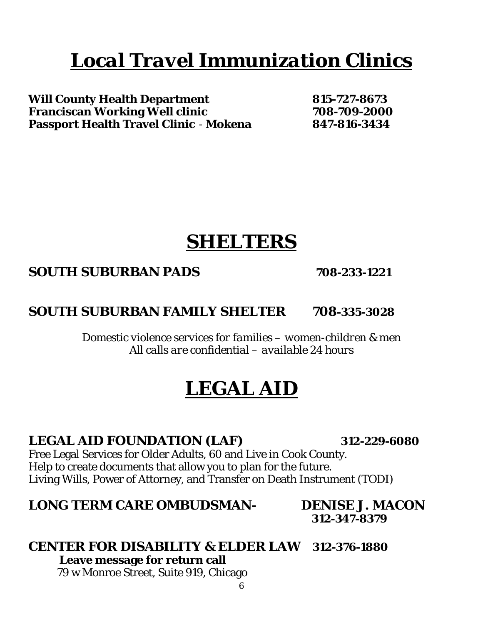# *Local Travel Immunization Clinics*

**Will County Health Department 815-727-8673 Franciscan Working Well clinic 708-709-2000 Passport Health Travel Clinic** - **Mokena 847-816-3434**

# *SHELTERS*

## **SOUTH SUBURBAN PADS 708-233-1221**

## **SOUTH SUBURBAN FAMILY SHELTER 708-335-3028**

*Domestic violence services for families – women-children & men All calls are confidential – available 24 hours* 

# *LEGAL AID*

## **LEGAL AID FOUNDATION (LAF) 312-229-6080**

Free Legal Services for Older Adults, 60 and Live in Cook County. Help to create documents that allow you to plan for the future. Living Wills, Power of Attorney, and Transfer on Death Instrument (TODI)

## **LONG TERM CARE OMBUDSMAN- DENISE J. MACON**

 **312-347-8379** 

## **CENTER FOR DISABILITY & ELDER LAW 312-376-1880**

 **Leave message for return call**

79 w Monroe Street, Suite 919, Chicago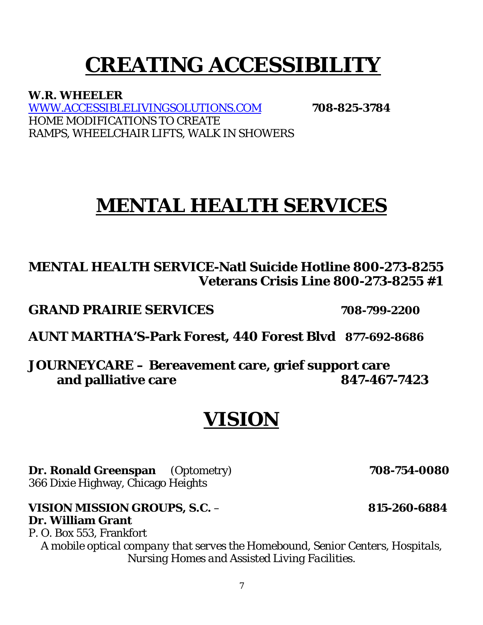# **CREATING ACCESSIBILITY**

**W.R. WHEELER**  WWW.ACCESSIBLELIVINGSOLUTIONS.COM **708-825-3784**  HOME MODIFICATIONS TO CREATE RAMPS, WHEELCHAIR LIFTS, WALK IN SHOWERS

# *MENTAL HEALTH SERVICES*

## **MENTAL HEALTH SERVICE-Natl Suicide Hotline 800-273-8255 Veterans Crisis Line 800-273-8255 #1**

**GRAND PRAIRIE SERVICES 708-799-2200** 

**AUNT MARTHA'S-Park Forest, 440 Forest Blvd 877-692-8686**

**JOURNEYCARE – Bereavement care, grief support care and palliative care 847-467-7423** 

# *VISION*

**Dr. Ronald Greenspan** (Optometry) **708-754-0080** 366 Dixie Highway, Chicago Heights

**VISION MISSION GROUPS, S.C.** – **815-260-6884 Dr. William Grant** 

P. O. Box 553, Frankfort *A mobile optical company that serves the Homebound, Senior Centers, Hospitals, Nursing Homes and Assisted Living Facilities.*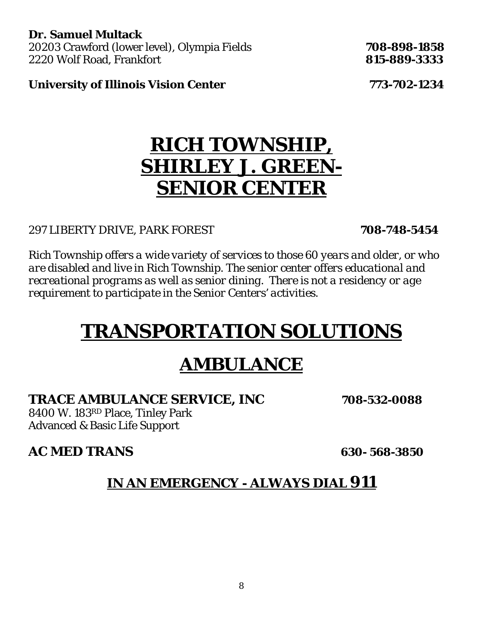**Dr. Samuel Multack**  20203 Crawford (lower level), Olympia Fields **708-898-1858** 2220 Wolf Road, Frankfort **815-889-3333** 

**University of Illinois Vision Center 773-702-1234**

# *RICH TOWNSHIP, SHIRLEY J. GREEN-SENIOR CENTER*

### 297 LIBERTY DRIVE, PARK FOREST **708-748-5454**

*Rich Township offers a wide variety of services to those 60 years and older, or who are disabled and live in Rich Township. The senior center offers educational and recreational programs as well as senior dining. There is not a residency or age requirement to participate in the Senior Centers' activities.* 

# *TRANSPORTATION SOLUTIONS*

# *AMBULANCE*

### **TRACE AMBULANCE SERVICE, INC 708-532-0088**

8400 W. 183RD Place, Tinley Park Advanced & Basic Life Support

## **AC MED TRANS 630- 568-3850**

## **IN AN EMERGENCY - ALWAYS DIAL 911**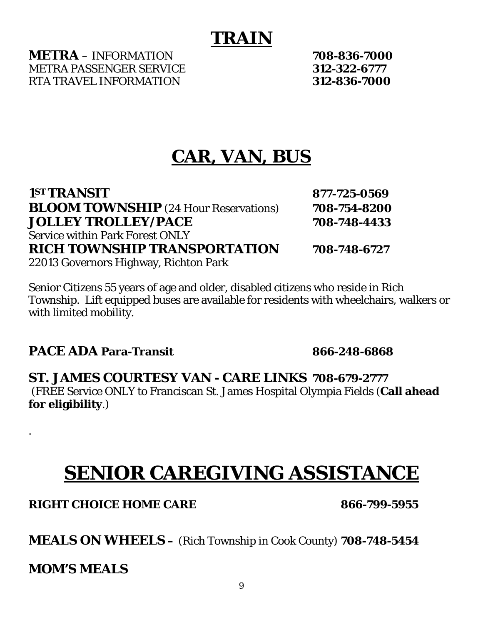# *TRAIN*

**METRA** – INFORMATION **708-836-7000** METRA PASSENGER SERVICE **312-322-6777** RTA TRAVEL INFORMATION **312-836-7000**

# *CAR, VAN, BUS*

| 1ST TRANSIT                                  | 877-725-0569 |
|----------------------------------------------|--------------|
| <b>BLOOM TOWNSHIP</b> (24 Hour Reservations) | 708-754-8200 |
| <b>JOLLEY TROLLEY/PACE</b>                   | 708-748-4433 |
| <b>Service within Park Forest ONLY</b>       |              |
| <b>RICH TOWNSHIP TRANSPORTATION</b>          | 708-748-6727 |
| 22013 Governors Highway, Richton Park        |              |

Senior Citizens 55 years of age and older, disabled citizens who reside in Rich Township. Lift equipped buses are available for residents with wheelchairs, walkers or with limited mobility.

**PACE ADA Para-Transit 866-248-6868**

**ST. JAMES COURTESY VAN - CARE LINKS 708-679-2777**  (FREE Service ONLY to Franciscan St. James Hospital Olympia Fields (**Call ahead for eligibility**.)

# *SENIOR CAREGIVING ASSISTANCE*

**RIGHT CHOICE HOME CARE 866-799-5955** 

**MEALS ON WHEELS –** (Rich Township in Cook County) **708-748-5454**

**MOM'S MEALS** 

.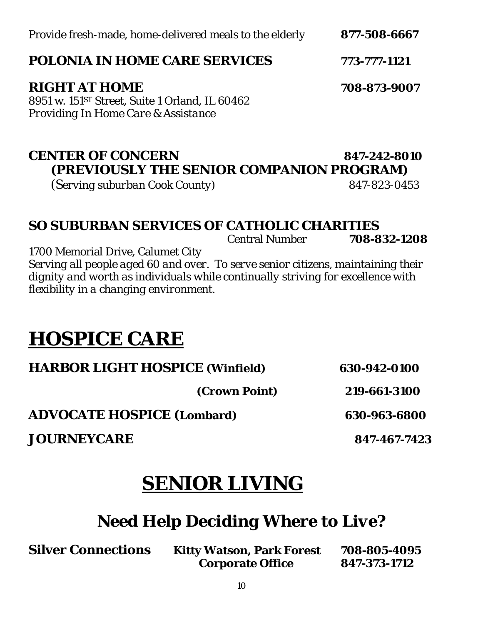| Provide fresh-made, home-delivered meals to the elderly |  | 877-508-6667 |
|---------------------------------------------------------|--|--------------|

### **POLONIA IN HOME CARE SERVICES 773-777-1121**

### **RIGHT AT HOME 708-873-9007**

8951 w. 151ST Street, Suite 1 Orland, IL 60462 *Providing In Home Care & Assistance* 

### **CENTER OF CONCERN 847-242-8010 (PREVIOUSLY THE SENIOR COMPANION PROGRAM)**

(S*erving suburban Cook County) 847-823-0453* 

## **SO SUBURBAN SERVICES OF CATHOLIC CHARITIES**

Central Number **708-832-1208**

1700 Memorial Drive, Calumet City *Serving all people aged 60 and over. To serve senior citizens, maintaining their dignity and worth as individuals while continually striving for excellence with flexibility in a changing environment.* 

# **HOSPICE CARE**

| <b>HARBOR LIGHT HOSPICE (Winfield)</b> |               | 630-942-0100 |  |
|----------------------------------------|---------------|--------------|--|
|                                        | (Crown Point) | 219-661-3100 |  |

**ADVOCATE HOSPICE (Lombard) 630-963-6800** 

**JOURNEYCARE 847-467-7423**

# *SENIOR LIVING*

# *Need Help Deciding Where to Live?*

**Silver Connections Kitty Watson, Park Forest 708-805-4095** 

 **Corporate Office 847-373-1712**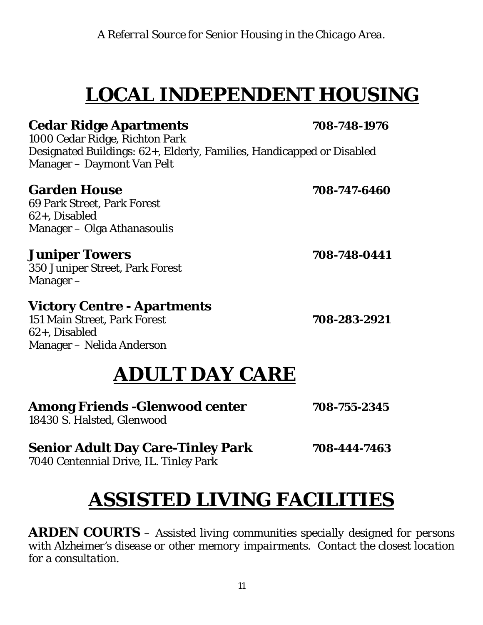*A Referral Source for Senior Housing in the Chicago Area.* 

# *LOCAL INDEPENDENT HOUSING*

## **Cedar Ridge Apartments 708-748-1976**

1000 Cedar Ridge, Richton Park Designated Buildings: 62+, Elderly, Families, Handicapped or Disabled Manager – Daymont Van Pelt

## **Garden House 708-747-6460**

69 Park Street, Park Forest 62+, Disabled Manager – Olga Athanasoulis

### **Juniper Towers 708-748-0441**

350 Juniper Street, Park Forest Manager –

## **Victory Centre - Apartments**

151 Main Street, Park Forest **708-283-2921** 62+, Disabled Manager – Nelida Anderson

# *ADULT DAY CARE*

### Among Friends -Glenwood center 708-755-2345

18430 S. Halsted, Glenwood

## **Senior Adult Day Care-Tinley Park 708-444-7463**

7040 Centennial Drive, IL. Tinley Park

# *ASSISTED LIVING FACILITIES*

**ARDEN COURTS** *– Assisted living communities specially designed for persons with Alzheimer's disease or other memory impairments. Contact the closest location for a consultation.*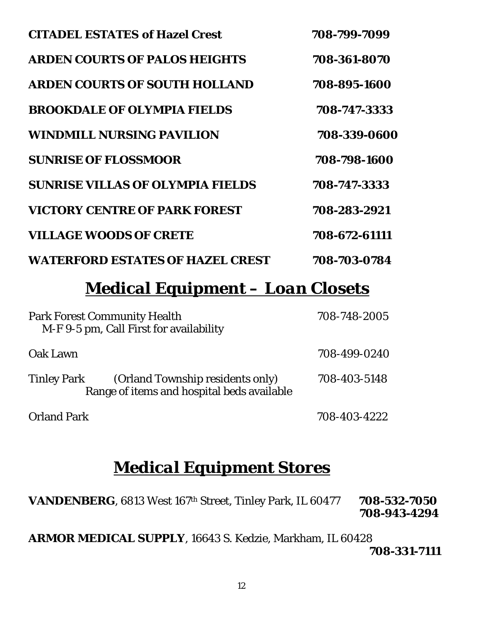| <b>CITADEL ESTATES of Hazel Crest</b>   | 708-799-7099  |
|-----------------------------------------|---------------|
| <b>ARDEN COURTS OF PALOS HEIGHTS</b>    | 708-361-8070  |
| <b>ARDEN COURTS OF SOUTH HOLLAND</b>    | 708-895-1600  |
| <b>BROOKDALE OF OLYMPIA FIELDS</b>      | 708-747-3333  |
| <b>WINDMILL NURSING PAVILION</b>        | 708-339-0600  |
| <b>SUNRISE OF FLOSSMOOR</b>             | 708-798-1600  |
| <b>SUNRISE VILLAS OF OLYMPIA FIELDS</b> | 708-747-3333  |
| <b>VICTORY CENTRE OF PARK FOREST</b>    | 708-283-2921  |
| <b>VILLAGE WOODS OF CRETE</b>           | 708-672-61111 |
| <b>WATERFORD ESTATES OF HAZEL CREST</b> | 708-703-0784  |

# *Medical Equipment – Loan Closets*

| <b>Park Forest Community Health</b><br>M-F 9-5 pm, Call First for availability                       | 708-748-2005 |
|------------------------------------------------------------------------------------------------------|--------------|
| Oak Lawn                                                                                             | 708-499-0240 |
| <b>Tinley Park</b><br>(Orland Township residents only)<br>Range of items and hospital beds available | 708-403-5148 |
| <b>Orland Park</b>                                                                                   | 708-403-4222 |

## *Medical Equipment Stores*

**VANDENBERG**, 6813 West 167th Street, Tinley Park, IL 60477 **708-532-7050 708-943-4294** 

**ARMOR MEDICAL SUPPLY**, 16643 S. Kedzie, Markham, IL 60428 **708-331-7111**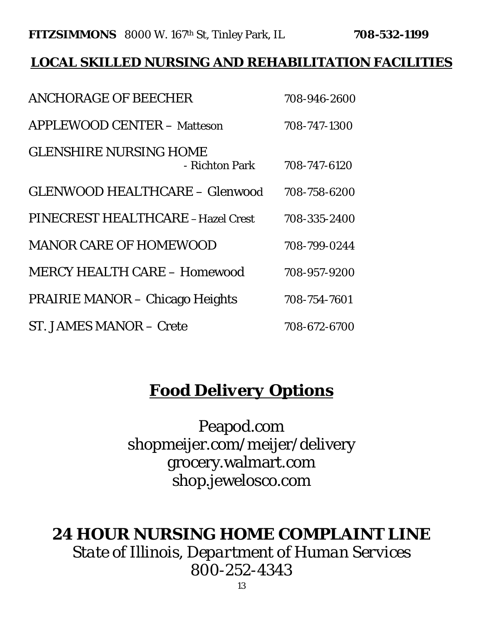### **FITZSIMMONS** 8000 W. 167th St, Tinley Park, IL **708-532-1199**

## *LOCAL SKILLED NURSING AND REHABILITATION FACILITIES*

| <b>ANCHORAGE OF BEECHER</b>                     | 708-946-2600 |
|-------------------------------------------------|--------------|
| <b>APPLEWOOD CENTER - Matteson</b>              | 708-747-1300 |
| <b>GLENSHIRE NURSING HOME</b><br>- Richton Park | 708-747-6120 |
| <b>GLENWOOD HEALTHCARE - Glenwood</b>           | 708-758-6200 |
| PINECREST HEALTHCARE -Hazel Crest               | 708-335-2400 |
| <b>MANOR CARE OF HOMEWOOD</b>                   | 708-799-0244 |
| <b>MERCY HEALTH CARE - Homewood</b>             | 708-957-9200 |
| <b>PRAIRIE MANOR – Chicago Heights</b>          | 708-754-7601 |
| <b>ST. JAMES MANOR - Crete</b>                  | 708-672-6700 |

# **Food** *Delivery* **Options**

Peapod.com shopmeijer.com/meijer/delivery grocery.walmart.com shop.jewelosco.com

## *24 HOUR NURSING HOME COMPLAINT LINE*

*State of Illinois, Department of Human Services 800-252-4343*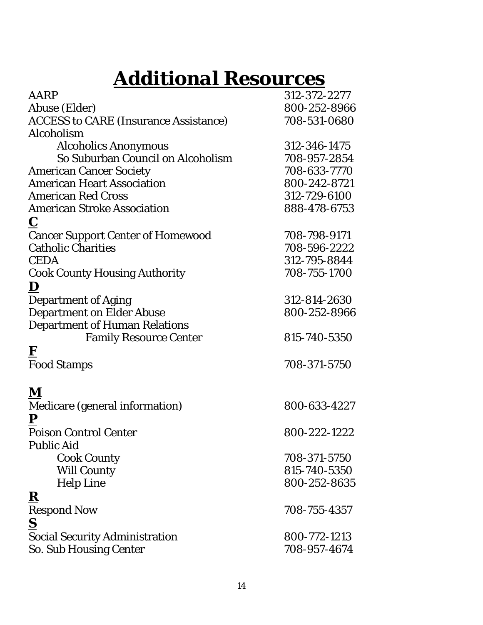# *Additional Resources*

| AARP                                         | 312-372-2277 |
|----------------------------------------------|--------------|
| Abuse (Elder)                                | 800-252-8966 |
| <b>ACCESS to CARE (Insurance Assistance)</b> | 708-531-0680 |
| Alcoholism                                   |              |
| <b>Alcoholics Anonymous</b>                  | 312-346-1475 |
| So Suburban Council on Alcoholism            | 708-957-2854 |
| <b>American Cancer Society</b>               | 708-633-7770 |
| <b>American Heart Association</b>            | 800-242-8721 |
| <b>American Red Cross</b>                    | 312-729-6100 |
| <b>American Stroke Association</b>           | 888-478-6753 |
| $\mathbf C$                                  |              |
| <b>Cancer Support Center of Homewood</b>     | 708-798-9171 |
| <b>Catholic Charities</b>                    | 708-596-2222 |
| <b>CEDA</b>                                  | 312-795-8844 |
| <b>Cook County Housing Authority</b>         | 708-755-1700 |
| D                                            |              |
| <b>Department of Aging</b>                   | 312-814-2630 |
| <b>Department on Elder Abuse</b>             | 800-252-8966 |
| <b>Department of Human Relations</b>         |              |
| <b>Family Resource Center</b>                | 815-740-5350 |
| $\mathbf{F}$                                 |              |
| <b>Food Stamps</b>                           | 708-371-5750 |
|                                              |              |
| ${\bf M}$                                    |              |
| Medicare (general information)               | 800-633-4227 |
| ${\bf P}$                                    |              |
| <b>Poison Control Center</b>                 | 800-222-1222 |
| <b>Public Aid</b>                            |              |
| <b>Cook County</b>                           | 708-371-5750 |
| <b>Will County</b>                           | 815-740-5350 |
| <b>Help Line</b>                             | 800-252-8635 |
| ${\bf R}$                                    |              |
| <b>Respond Now</b>                           | 708-755-4357 |
| $\underline{\mathbf{S}}$                     |              |
| <b>Social Security Administration</b>        | 800-772-1213 |
| So. Sub Housing Center                       | 708-957-4674 |
|                                              |              |